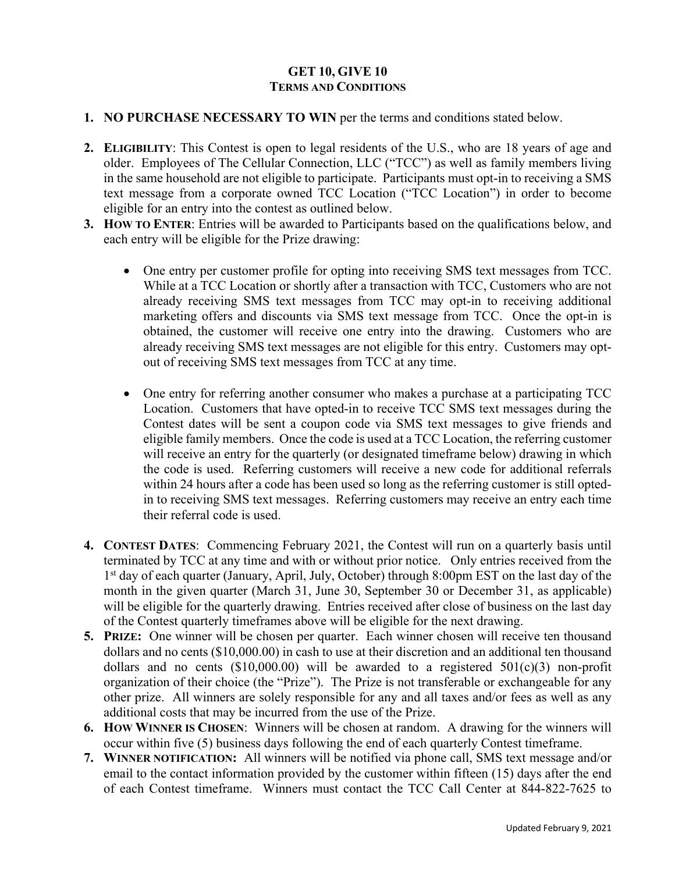## **GET 10, GIVE 10 TERMS AND CONDITIONS**

- **1. NO PURCHASE NECESSARY TO WIN** per the terms and conditions stated below.
- **2. ELIGIBILITY**: This Contest is open to legal residents of the U.S., who are 18 years of age and older. Employees of The Cellular Connection, LLC ("TCC") as well as family members living in the same household are not eligible to participate. Participants must opt-in to receiving a SMS text message from a corporate owned TCC Location ("TCC Location") in order to become eligible for an entry into the contest as outlined below.
- **3. HOW TO ENTER**: Entries will be awarded to Participants based on the qualifications below, and each entry will be eligible for the Prize drawing:
	- One entry per customer profile for opting into receiving SMS text messages from TCC. While at a TCC Location or shortly after a transaction with TCC, Customers who are not already receiving SMS text messages from TCC may opt-in to receiving additional marketing offers and discounts via SMS text message from TCC. Once the opt-in is obtained, the customer will receive one entry into the drawing. Customers who are already receiving SMS text messages are not eligible for this entry. Customers may optout of receiving SMS text messages from TCC at any time.
	- One entry for referring another consumer who makes a purchase at a participating TCC Location. Customers that have opted-in to receive TCC SMS text messages during the Contest dates will be sent a coupon code via SMS text messages to give friends and eligible family members. Once the code is used at a TCC Location, the referring customer will receive an entry for the quarterly (or designated timeframe below) drawing in which the code is used. Referring customers will receive a new code for additional referrals within 24 hours after a code has been used so long as the referring customer is still optedin to receiving SMS text messages. Referring customers may receive an entry each time their referral code is used.
- **4. CONTEST DATES**: Commencing February 2021, the Contest will run on a quarterly basis until terminated by TCC at any time and with or without prior notice. Only entries received from the 1<sup>st</sup> day of each quarter (January, April, July, October) through 8:00pm EST on the last day of the month in the given quarter (March 31, June 30, September 30 or December 31, as applicable) will be eligible for the quarterly drawing. Entries received after close of business on the last day of the Contest quarterly timeframes above will be eligible for the next drawing.
- **5. PRIZE:** One winner will be chosen per quarter. Each winner chosen will receive ten thousand dollars and no cents (\$10,000.00) in cash to use at their discretion and an additional ten thousand dollars and no cents  $(\$10,000.00)$  will be awarded to a registered  $501(c)(3)$  non-profit organization of their choice (the "Prize"). The Prize is not transferable or exchangeable for any other prize. All winners are solely responsible for any and all taxes and/or fees as well as any additional costs that may be incurred from the use of the Prize.
- **6. HOW WINNER IS CHOSEN**: Winners will be chosen at random. A drawing for the winners will occur within five (5) business days following the end of each quarterly Contest timeframe.
- **7. WINNER NOTIFICATION:** All winners will be notified via phone call, SMS text message and/or email to the contact information provided by the customer within fifteen (15) days after the end of each Contest timeframe. Winners must contact the TCC Call Center at 844-822-7625 to